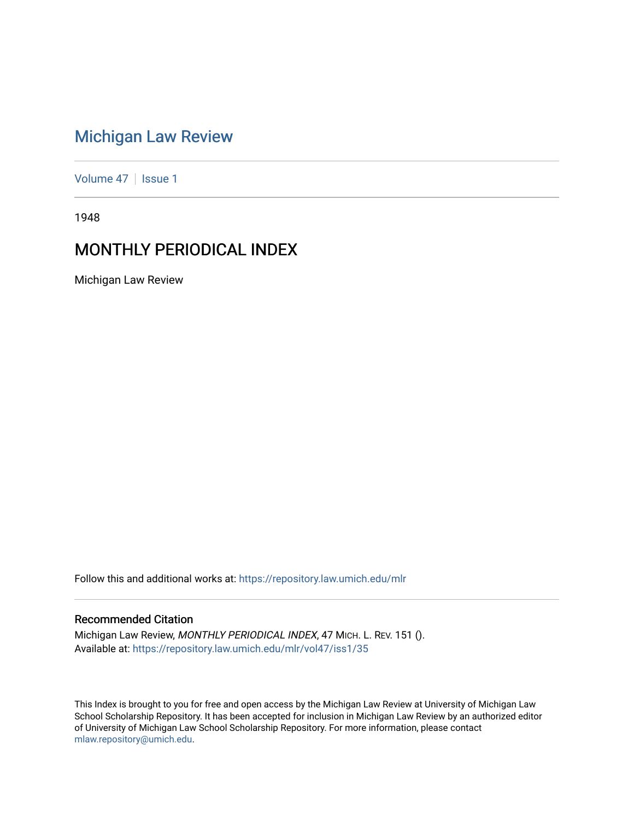# [Michigan Law Review](https://repository.law.umich.edu/mlr)

[Volume 47](https://repository.law.umich.edu/mlr/vol47) | [Issue 1](https://repository.law.umich.edu/mlr/vol47/iss1)

1948

# MONTHLY PERIODICAL INDEX

Michigan Law Review

Follow this and additional works at: [https://repository.law.umich.edu/mlr](https://repository.law.umich.edu/mlr?utm_source=repository.law.umich.edu%2Fmlr%2Fvol47%2Fiss1%2F35&utm_medium=PDF&utm_campaign=PDFCoverPages) 

# Recommended Citation

Michigan Law Review, MONTHLY PERIODICAL INDEX, 47 MICH. L. REV. 151 (). Available at: [https://repository.law.umich.edu/mlr/vol47/iss1/35](https://repository.law.umich.edu/mlr/vol47/iss1/35?utm_source=repository.law.umich.edu%2Fmlr%2Fvol47%2Fiss1%2F35&utm_medium=PDF&utm_campaign=PDFCoverPages) 

This Index is brought to you for free and open access by the Michigan Law Review at University of Michigan Law School Scholarship Repository. It has been accepted for inclusion in Michigan Law Review by an authorized editor of University of Michigan Law School Scholarship Repository. For more information, please contact [mlaw.repository@umich.edu.](mailto:mlaw.repository@umich.edu)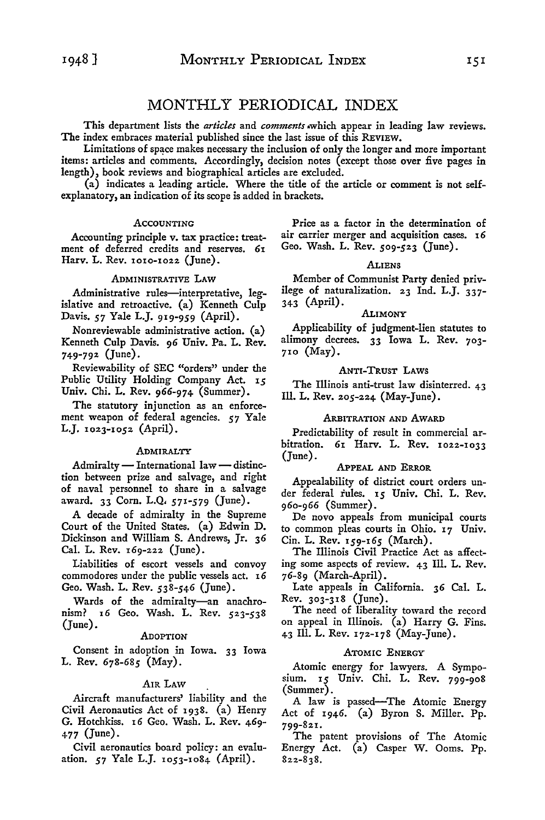# MONTHLY PERIODICAL INDEX

This department lists the *articles* and *comments* ,which appear in leading law reviews. The index embraces material published since the last issue of this REVIEW.

Limitations of space makes necessary the inclusion of only the longer and more important items: articles and comments. Accordingly, decision notes (except those over five pages in length), book reviews and biographical articles are excluded.

(a) indicates a leading article. Where the title of the article or comment is not selfexplanatory, an indication of its scope is added in brackets.

#### **ACCOUNTING**

Accounting principle v. tax practice: treatment of deferred credits and reserves. 61 Harv. L. Rev. 1010-1022 (June).

#### ADMINISTRATIVE LAW

Administrative rules-interpretative, legislative and retroactive. (a) Kenneth Culp Davis. *57* Yale L.J. 919-959 (April).

Nonreviewable administrative action. (a) Kenneth Culp Davis. 96 Univ. Pa. L. Rev. 749-792 (June).

Reviewability of SEC "orders" under the Public Utility Holding Company Act. 15 Univ. Chi. L. Rev. 966-974 (Summer).

The statutory injunction as an enforcement weapon of federal agencies. *57* Yale L.J. 1023-1052 (April).

## **ADMIRALTY**

Admiralty  $-$  International law  $-$  distinction between prize and salvage, and right of naval personnel to share in a salvage award. 33 Corn. L.Q. 571-579 (June).

A decade of admiralty in the Supreme Court of the United States. (a) Edwin D. Dickinson and William S. Andrews, Jr. 36 Cal. L. Rev. 169-222 (June).

Liabilities of escort vessels and convoy commodores under the public vessels act. 16 Geo. Wash. L. Rev. 538-546 (June).

Wards of the admiralty-an anachronism? 16 Geo. Wash. L. Rev. 523-538 (June).

#### ADOPTION

Consent in adoption in Iowa. 33 Iowa L. Rev. 678-685 (May).

#### AIR LAW

Aircraft manufacturers' liability and the Civil Aeronautics Act of 1938. (a) Henry G. Hotchkiss. 16 Geo. Wash. L. Rev. 469- 477 (June).

Civil aeronautics board policy: an evaluation. *57* Yale L.J. 1053-1084 (April).

Price as a factor in the determination of air carrier merger and acquisition cases. 16 Geo. Wash. L. Rev. 509-523 (June).

#### ALIENS

Member of Communist Party denied privilege of naturalization. 23 Ind. L.J. 337- 343 (April).

#### ALIMONY

Applicability of judgment-lien statutes to alimony decrees. 33 Iowa L. Rev. 703- 710 (May).

#### ANTI-TRUST LAWS

The Illinois anti-trust law disinterred. 43 Ill. L. Rev. 205-224 (May-June).

# ARBITRATION AND AWARD

Predictability of result in commercial arbitration. 61 Harv. L. Rev. 1022-1033 (June).

# APPEAL AND ERROR

Appealability of district court orders under federal rules. 15 Univ. Chi. L. Rev. 960-966 (Summer).

De novo appeals from municipal courts to common pleas courts in Ohio. 17 Univ. Cin. L. Rev. 159-165 (March).

The Illinois Civil Practice Act as affecting some aspects of review. 43 Ill. L. Rev. 76-89 (March-April).

Late appeals in California. 36 Cal. L. Rev. 303-318 (June).

The need of liberality toward the record on appeal in Illinois. (a) Harry G. Fins. 43 Ill. L. Rev. 172-178 (May-June).

#### ATOMIC ENERGY

Atomic energy for lawyers. A Symposium. 15 Univ. Chi. L. Rev. 799-908 (Summer).

A law is passed-The Atomic Energy Act of 1946. (a) Byron S. Miller. Pp. 799-821.

The patent provisions of The Atomic Energy Act. (a) Casper W. Ooms. Pp. 822-838.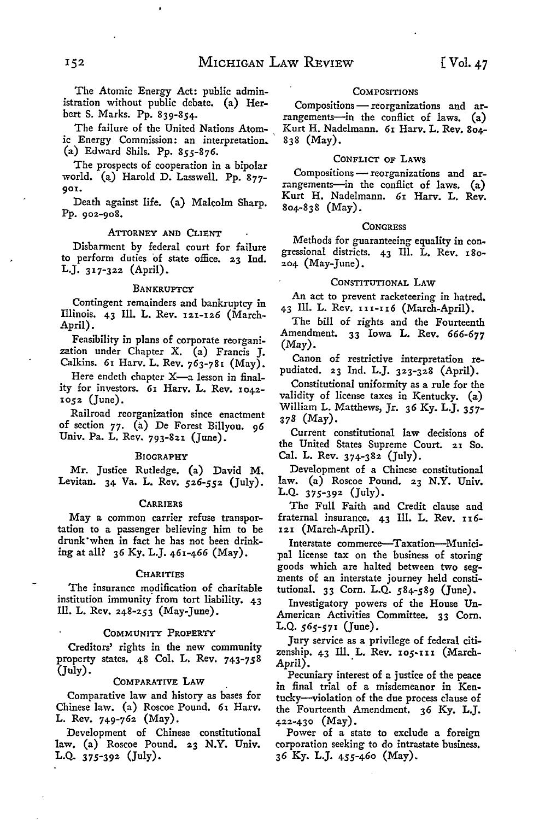bert S. Marks. Pp. 839-854. The failure of the United Nations Atomic Energy Commission: an interpretation.

istration without public debate. (a) Her-

(a) Edward Shils. Pp. 855-876. The prospects of cooperation in a bipolar world. (a) Harold D. Lasswell. Pp. 877-901.

Death against life. (a) Malcolm Sharp. Pp. 902-908.

#### ATTORNEY AND CLIENT

Disbarment by federal court for failure to perform duties of state office. 23 Ind. L.J. 317-322 (April).

#### **BANKRUPTCY**

Contingent remainders and bankruptcy in Illinois. 43 Ill. L. Rev. 121-126 (March-April).

Feasibility in plans of corporate reorganization under Chapter X. (a) Francis J. Calkins. 61 Harv. L. Rev. 763-781 (May).

Here endeth chapter  $X$ —a lesson in finality for investors. 61 Harv. L. Rev. 1042- 1052 (June).

Railroad reorganization since enactment of section 77. (a) De Forest Billyou. 96 Univ. Pa. L. Rev. 793-821 (June).

#### BIOGRAPHY

Mr. Justice Rutledge. (a) David M. Levitan. 34 Va. L. Rev. 526-552 (July).

#### **CARRIERS**

May a common carrier refuse transportation to a passenger believing him to be drunk ·when in fact he has not been drinking at all? 36 Ky. L.J. 461-466 (May).

#### **CHARITIES**

The insurance modification of charitable institution immunity from tort liability. 43 Ill. L. Rev. 248-253 (May-June).

#### COMMUNITY PROPERTY

Creditors' rights in the new community property states. 48 Col. L. Rev. 743-758 (July).

#### COMPARATIVE LAW

Comparative law and history as bases for Chinese law. (a) Roscoe Pound. 61 Harv. L. Rev. 749-762 (May).

Development of Chinese constitutional law. (a) Roscoe Pound. 23 N.Y. Univ. L.Q. 375-392 (July).

#### **COMPOSITIONS**

Compositions - reorganizations and arrangements-in the conflict of laws.  $(a)$ Kurt H. Nadelmann. 61 Harv. L. Rev. 804- 838 (May).

#### CONFLICT OF LAWS

Compositions - reorganizations and arrangements-in the conflict of laws. (a) Kurt H. Nadelmann. 61 Harv. L. Rev. 804-838 (May).

#### **CONGRESS**

Methods for guaranteeing equality in congressional districts. 43 Ill. L. Rev. 180- 204 (May-June).

### CONSTITUTIONAL LAW

An act to prevent racketeering in hatred. 43 Ill. L. Rev. 1n-n6 (March-April).

The bill of rights and the Fourteenth Amendment. 33 Iowa L. Rev. 666-677 (May).

Canon of restrictive interpretation repudiated. 23 Ind. L.J. 323-328 (April).

Constitutional uniformity as a rule for the validity of license taxes in Kentucky. (a) William L. Matthews, Jr. *36* Ky. L.J. 357- 378 (May).

Current constitutional law decisions of the United States Supreme Court. 21 So. Cal. L. Rev. 374-382 (July).

Development of a Chinese constitutional law. (a) Roscoe Pound. 23 N.Y. Univ. L.Q. 375-392 (July).

The Full Faith and Credit clause and fraternal insurance.  $43$  Ill. L. Rev.  $116-$ 121 (March-April).

Interstate commerce-Taxation--Municipal license tax on the business of storing goods which are halted between two segments of an interstate journey held constitutional. 33 Corn. L.Q. 584-589 (June).

Investigatory powers of the House Un-American Activities Committee. 33 Corn. L.Q. 565-571 (June).

Jury service as a privilege of federal citizenship. 43 Ill. L. Rev. 105-111 (March-April). .

Pecuniary interest of a justice of the peace in final trial of a misdemeanor in Kentucky-violation of the due process clause of the Fourteenth Amendment. 36 Ky. L.J. 422-430 (May).

Power of a state to exclude a foreign corporation seeking to do intrastate business. 36 Ky. L.J. 455-460 (May).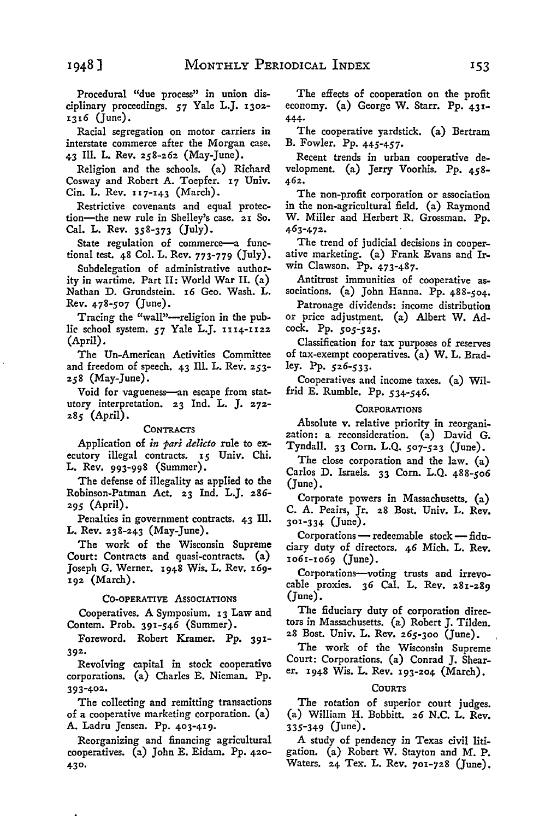Procedural "due process" in union disciplinary proceedings. *57* Yale L.J. 1302- 1316 (June).

Racial segregation on motor carriers in interstate commerce after the Morgan case. 43 Ill. L. Rev. 258-262 (May-June).

Religion and the schools. (a) Richard Cosway and Robert A. Toepfer. 17 Univ. Cin. L. Rev. 117-143 (March).

Restrictive covenants and equal protection-the new rule in Shelley's case. 21 So. Cal. L. Rev. 358-373 (July).

State regulation of commerce-a functional test. 48 Col. L. Rev. 773-779 (July).

Subdelegation of administrative authority in wartime. Part II: World War II. (a) Nathan D. Grundstein. 16 Geo. Wash. L. Rev. 478-507 (June).

Tracing the "wall"-religion in the public school system. *57* Yale L.J. 1114-1122 (April).

The Un-American Activities Committee and freedom of speech. 43 Ill. L. Rev. 253-  $258$  (May-June).

Void for vagueness-an escape from statutory interpretation. 23 Ind. L. J. 272- 285 (April).

#### **CONTRACTS**

Application of *in pari delicto* rule to executory illegal contracts. 15 Univ. Chi. L. Rev. 993-998 (Summer).

The defense of illegality as applied to the Robinson-Patman Act, 23 Ind. L.J. 286- *295* (April).

Penalties in government contracts. 43 Ill. L. Rev. 238-243 (May-June).

The work of the Wisconsin Supreme Court: Contracts and quasi-contracts. (a) Joseph G. Werner. 1948 Wis. L. Rev. 169- 192 (March).

#### CO-OPERATIVE ASSOCIATIONS

Cooperatives. A Symposium. 13 Law and Contem. Prob. 391-546 (Summer).

Foreword, Robert Kramer. Pp. 391- **392•** 

Revolving capital in stock cooperative corporations. (a) Charles E. Nieman. Pp. 393-402.

The collecting and remitting transactions of a cooperative marketing corporation. (a) A. Ladru Jensen. Pp. 403-419.

Reorganizing and financing agricultural cooperatives. (a) John E. Eidam. Pp. 420- **430.** 

The effects of cooperation on the profit economy. (a) George **W.** Starr. Pp. **431-** 444.

The cooperative yardstick. (a) Bertram B. Fowler. Pp. 445-457.

Recent trends in urban cooperative development. (a) Jerry Voorhis. Pp. 458- 462.

The non-profit corporation or association in the non-agricultural field. (a) Raymond W. Miller and Herbert R. Grossman. Pp. 463-472.

The trend of judicial decisions in cooperative marketing. (a) Frank Evans and Irwin Clawson. Pp. 473-487.

Antitrust immunities of cooperative associations. (a) John Hanna. Pp. 488-504.

Patronage dividends: income distribution or price adjustment. (a) Albert W. Adcock. Pp. *505-525.* 

Classification for tax purposes of reserves of tax-exempt cooperatives. (a) W. L. Bradley. Pp. 526-533.

Cooperatives and income taxes. (a) Wilfrid E. Rumble. Pp. 534-546.

# **CORPORATIONS**

Absolute v. relative priority in reorganization: a reconsideration. (a) David G. Tyndall. 33 Corn. L.Q. 507-523 (June).

The close corporation and the law. (a) Carlos D. Israels. 33 Corn. L.Q. 488-506 (June).

Corporate powers in Massachusetts. (a) C. A. Peairs, Jr. 28 Bost. Univ. L. Rev. 301-334 (June).

Corporations - redeemable stock-fiduciary duty of directors. 46 Mich. L. Rev. 1061-1069 (June).

Corporations-voting trusts and irrevocable proxies. 36 Cal. L. Rev. 281-289 (June).

The fiduciary duty of corporation directors in Massachusetts. (a) Robert J. Tilden. 28 Bost. Univ. L. Rev. 265-300 (June).

The work of the Wisconsin Supreme Court: Corporations. (a) Conrad J. Shearer. 1948 Wis. L. Rev. 193-204 (March).

#### **COURTS**

The rotation of superior court judges. (a) William H. Bobbitt. 26 N.C. L. Rev. 335-349 (June).

A study of pendency in Texas civil litigation. (a) Robert W. Stayton and M. P. Waters. 24 Tex. L. Rev. 701-728 (June).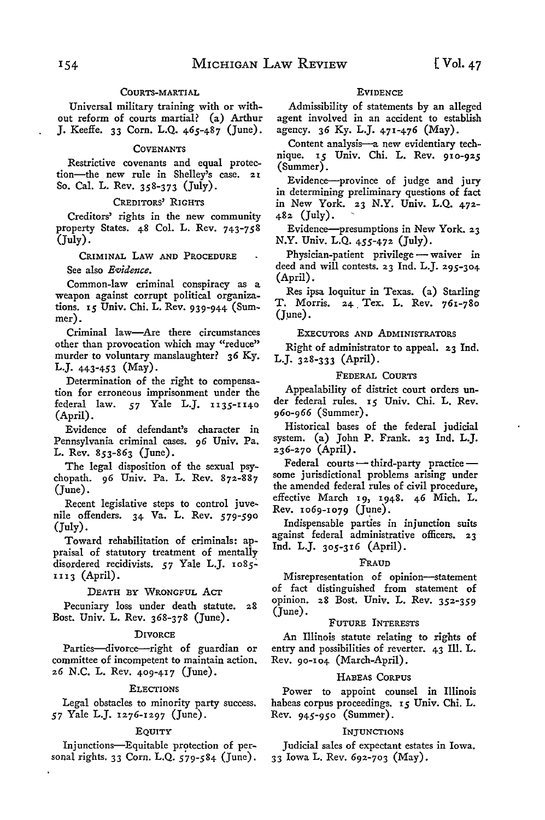# COURTS-MARTIAL

Universal military training with or without reform of courts martial? (a) Arthur J. Keeffe. 33 Corn. L.Q. 465-487 (June).

# **COVENANTS**

Restrictive covenants and equal protection-the new rule in Shelley's case. 21 So. Cal. L. Rev. 358-373 (July).

# CREDITORS' RIGHTS

Creditors' rights in the new community property States. 48 Col. L. Rev. 743-758 (July).

CRIMINAL LAW AND PROCEDURE

See also *Evidence.* 

Common-law criminal conspiracy as a weapon against corrupt political organizations. 15 Univ. Chi. L. Rev. 939-944 (Summer).

Criminal law-Are there circumstances other than provocation which may "reduce" murder to voluntary manslaughter? 36 Ky. L.J. 443-453 (May).

Determination of the right to compensation for erroneous imprisonment under the federal law. *57* Yale L.J. 1135-1140 (April).

Evidence of defendant's character in Pennsylvania criminal cases. 96 Univ. Pa. L. Rev. 853-863 (June).

The legal disposition of the sexual psychopath. 96 Univ. Pa. L. Rev. 872-887 (June).

Recent legislative steps to control juvenile offenders. 34 Va. L. Rev. 579-590 (July).

Toward rehabilitation of criminals: appraisal of statutory treatment of mentally disordered recidivists. 57 Yale L.J. 1085-1113 (April).

# DEATH BY WRONGFUL Acr

Pecuniary loss under death statute. 28 Bost. Univ. L. Rev. 368-378 (June).

#### **DIVORCE**

Parties-divorce-right of guardian or committee of incompetent to maintain action. 26 **N.C.** L. Rev. 409-417 (June).

#### ELECTIONS

Legal obstacles to minority party success. *57* Yale L.J. 1276-1297 (June).

#### EQUITY

Injunctions-Equitable protection of personal rights. 33 Corn. L.Q. 579-584 (June).

#### **EVIDENCE**

Admissibility of statements by an alleged agent involved in an accident to establish agency. 36 Ky. L.J. 471-476 (May).

Content analysis-a new evidentiary technique. 15 Univ. Chi. L. Rev. 910-925 (Summer).

Evidence-province of judge and jury in determining preliminary questions of fact in New York. 23 N.Y. Univ. L.Q. 472- 482 (July).

Evidence-presumptions in New York. 23 N.Y. Univ. L.Q. 455-472 (July).

Physician-patient privilege - waiver in deed and will contests. 23 Ind. L.J. 295-304 (April).

Res ipsa loquitur in Texas. (a) Starling T. Morris. 24 Tex. L. Rev. 761-780 (Jµne).

#### EXECUTORS AND ADMINISTRATORS

Right of administrator to appeal. 23 Ind. L.J. 328-333 (April).

# FEDERAL COURTS

Appealability of district court orders under federal rules. 15 Univ. Chi. L. Rev. 960-966 (Summer).

Historical bases of the federal judicial system. (a) John P. Frank. 23 Ind. L.J. 236-270 (April).

 $Federal$  courts  $\rightarrow$  third-party practice  $\rightarrow$ some jurisdictional problems arising under the amended federal rules of civil procedure, effective March 19, 1948. 46 Mich. L. Rev. 1069-1079 (June).

Indispensable parties in injunction suits against federal administrative officers. 23 Ind. L.J. 305-316 (April).

#### FRAUD

Misrepresentation of opinion-statement of fact distinguished from statement of opinion. 28 Bost. Univ. L. Rev. 352-359 (June).

#### FUTURE INTERESTS

An Illinois statute relating to rights of entry and possibilities of reverter. 43 Ill. L. Rev. 90-104 (March-April).

# HABEAS CORPUS

Power to appoint counsel in Illinois habeas corpus proceedings. 15 Univ. Chi. L. Rev. 945-950 (Summer).

## INJUNCTIONS

Judicial sales of expectant estates in Iowa. 33 Iowa L. Rev. 692-703 (May).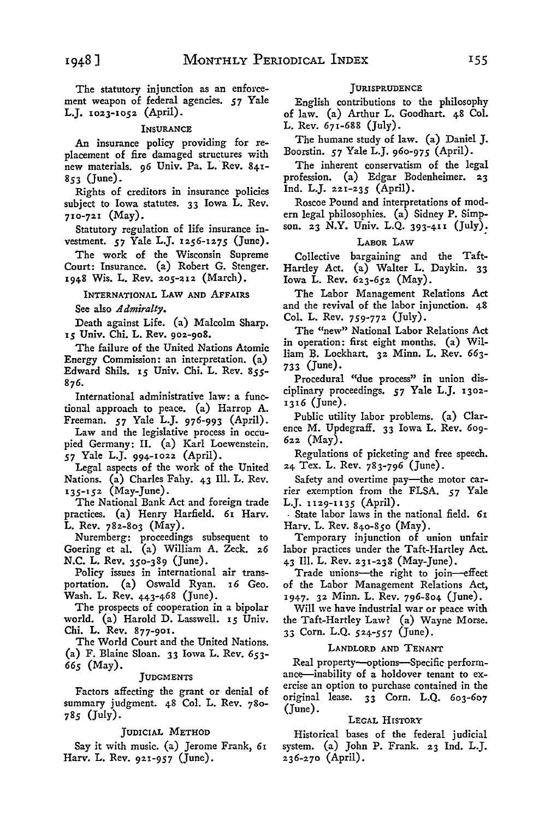The statutory injunction as an enforcement weapon of federal agencies. *57* Yale L.J. 1023-1052 (April).

# **INSURANCE**

An insurance policy providing for replacement of fire damaged structures with new materials. 96 Univ. Pa. L. Rev. 841-853 (June).

Rights of creditors in insurance policies subject to Iowa statutes. 33 Iowa L. Rev. 710-721 (May).

Statutory regulation of life insurance investment. *57* Yale L.J. 1256-1275 (June).

The work of the Wisconsin Supreme Court: Insurance. (a) Robert G. Stenger. 1948 Wis. L. Rev. 205-212 (March).

INTERNATIONAL LAW AND AFFAIRS

See also *Admiralty.* 

Death against Life. (a) Malcolm Sharp. 15 Univ. Chi. L. Rev. 902-908.

The failure of the United Nations Atomic Energy Commission: an interpretation. (a) Edward Shils. 15 Univ. Chi. L. Rev. *855-* 876.

International administrative law: a functional approach to peace. (a) Harrop A. Freeman. *57* Yale L.J. 976-993 (April).

Law and the legislative process in occupied Germany: II. (a) Karl Loewenstein. *57* Yale L.J. 994-1022 (April).

Legal aspects of the work of the United Nations. (a) Charles Fahy. 43 Ill. L. Rev. 135-152 (May-June).

The National Bank Act and foreign trade practices. (a) Henry Harfield. 61 Harv.  $\bar{L}$ . Rev. 782-803 (May).

Nuremberg: proceedings subsequent to Goering et al. (a) William A. Zeck. 26 N.C. L. Rev. 350-389 (June).

Policy issues in international air transportation. (a) Oswald Ryan. 16 Geo. Wash. L. Rev. 443-468 (June).

The prospects of cooperation in a bipolar world. (a) Harold D. Lasswell. 15 Univ. Chi. L. Rev. 877-901.

The World Court and the United Nations. (a) F. Blaine Sloan. 33 Iowa L. Rev. *653- 665* (May).

# **JUDGMENTS**

Factors affecting the grant or denial of summary judgment. 48 Col. L. Rev. 780- *785* (July).

# JUDICIAL METHOD

Say it with music. (a) Jerome Frank, 61 Harv. L. Rev. 921-957 (June).

# **JURISPRUDENCE**

English contributions to the philosophy of law. (a) Arthur L. Goodhart. 48 Col. L. Rev. 671-688 (July).

The humane study of law. (a) Daniel J. Boorstin. *57* Yale L.J. 960-975 (April).

The inherent conservatism of the legal profession. (a) Edgar Bodenheimer. 23 Ind. L.J. 221-235 (April).

Roscoe Pound and interpretations of modern legal philosophies. (a) Sidney P. Simpson. 23 **N.Y.** Univ. L.Q. 393-4II (July):

# LABOR LAW

Collective bargaining and the Taft-Hartley Act. (a) Walter L. Daykin. 33 Iowa L. Rev. 623-652 (May).

The Labor Management Relations Act and the revival of the labor injunction. 48 Col. L. Rev. 759-772 (July).

The "new" National Labor Relations Act in operation: first eight months. (a) William B. Lockhart. 32 Minn. L. Rev. 663- 733 (June).

Procedural "due process" in union disciplinary proceedings. *57* Yale L.J. 1302- 1316 (June).

Public utility labor problems. (a) Clarence M. Updegraff. 33 Iowa L. Rev. 609- 622 (May).

Regulations of picketing and free speech. 24 Tex. L. Rev. 783-796 (June).

Safety and overtime pay-the motor carrier exemption from the FLSA. *57* Yale L.J. 1129-1135 (April).

, State labor laws in the national field. 61 Harv. L. Rev. 840-850 (May).

Temporary injunction of union unfair labor practices under the Taft-Hartley Act. 43 Ill. L. Rev. 231-238 (May-June).

Trade unions-the right to join--effect of the Labor Management Relations Act, 1947. 32 Minn. L. Rev. 796-804 (June).

Will we have industrial war or peace with the Taft-Hartley Law? (a) Wayne Morse. 33 Corn. L.Q. 524-557 (June).

### LANDLORD AND TENANT

Real property-options-Specific performance--inability of a holdover tenant to exercise an option to purchase contained in the original lease. 33 Corn. L.Q. 603-607 (June).

#### LEGAL HISTORY

Historical bases of the federal judicial system. (a) John P. Frank. 23 Ind. L.J. 236-270 (April).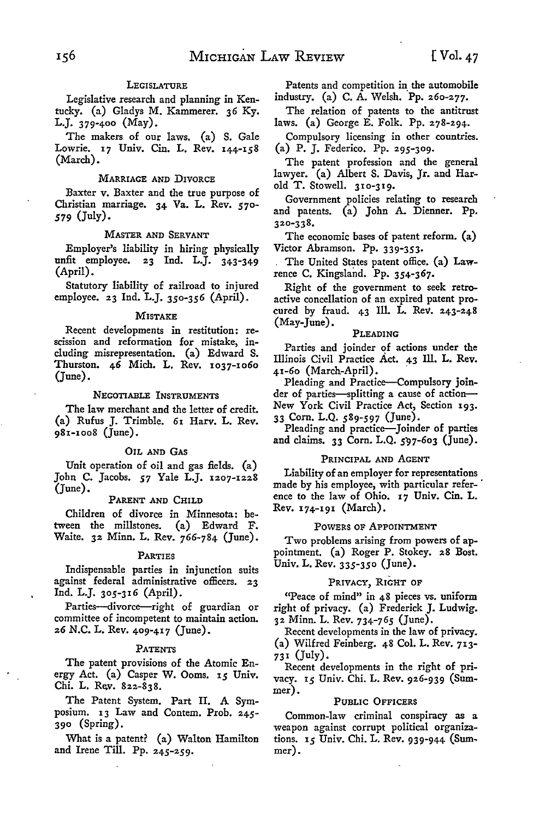# LEGISLATURE

Legislative research and planning in Kentucky. (a) Gladys M. Kammerer. 36 Ky. L.J. 379-400  $(May)$ .

The makers of our laws. (a) S. Gale Lowrie. 17 Univ. Cin. L. Rev. 144-158 (March).

#### MARRIAGE AND DIVORCE

Baxter v. Baxter and the true purpose of Christian marriage. 34 Va. L. Rev. *570- 579* (July).

#### MASTER AND SERVANT

Employer's liability in hiring physically unfit employee. 23 Ind. L.J. 343-349 (April).

Statutory liability of railroad to, injured employee. 23 Ind. L.J. 350-356 (April).

#### MISTAKE

Recent developments in restitution: rescission and reformation for mistake, including misrepresentation. (a) Edward S. Thurston. 46 Mich. L. Rev. 1037-1060 (June).

#### NEGOTIABLE INSTRUMENTS

The law merchant and the letter of credit. (a) Rufus J. Trimble. 61 Harv. L. Rev. 981-1008 (June).

#### OIL AND GAS

Unit operation of oil and gas fields. (a) John C. Jacobs. *57* Yale L.J. 1207-1228 (June).

# PARENT AND CHILD

Children of divorce in Minnesota: between the millstones. (a) Edward F. Waite. 32 Minn. L. Rev. 766-784 (June).

# PARTIES

Indispensable parties in injunction suits against federal administrative officers. 23 Ind. L.J. 305-316 (April).

Parties-divorce-right of guardian or committee of incompetent to maintain action. 26 N.C. L. Rev. 409-417 (June).

#### PATENTS

The patent provisions of the Atomic Energy Act. (a) Casper W. Ooms. 15 Univ. Chi. L. Rev. 822-838.

The Patent System. Part II. A Symposium. 13 Law and Contem. Prob. 245- 390 (Spring).

What is a patent? (a) Walton Hamilton and Irene Till. Pp. 245-259.

Patents and competition in the automobile industry. (a) C. A. Welsh. Pp. 260-277.

The relation of patents to the antitrust laws. (a) George E. Folk. Pp. 278-294.

Compulsory licensing in other countries. (a) P. J. Federico. Pp. 295-309.

The patent profession and the general lawyer. (a) Albert S. Davis, Jr. and Harold T. Stowell. 310-319.

Government policies relating to research and patents. (a) John A. Dienner. Pp. 320-338.

The economic bases of patent reform. (a) Victor Abramson. Pp. 339-353.

The United States patent office. (a) Lawrence C. Kingsland. Pp. 354-367.

Right of the government to seek retroactive concellation of an expired patent procured by fraud. 43 Ill. L. Rev. 243-248 (May-June).

# PLEADING

Parties and joinder of actions under the Illinois Civil Practice Act. 43 Ill. L. Rev.  $41-60$  (March-April).

Pleading and Practice-Compulsory joinder of parties-splitting a cause of action-New York Civil Practice Act, Section 193. 33 Corn. L.Q. *589-597* (June).

Pleading and practice-Joinder of parties and claims.  $33$  Corn. L.Q.  $597-603$  (June).

#### PRINCIPAL AND AGENT

Liability of an employer for representations made by his employee, with particular reference to the law of Ohio. 17 Univ. Cin. L. Rev. 174-191 (March).

#### POWERS OF APPOINTMENT

Two problems arising from powers of appointment, (a) Roger P. Stokey, 28 Bost. Univ. L. Rev. 335-350 (June).

# PRIVACY, RIGHT OF

"Peace of mind" in 48 pieces vs. uniform right of privacy. (a) Frederick J. Ludwig. 32 Minn. L. Rev. 734-765 (June).

Recent developments in the law of privacy. (a) Wilfred Feinberg. 48 Col. L. Rev. 713- 731 (July).

Recent developments in the right of privacy. 15 Univ. Chi. L. Rev. 926-939 (Summer).

#### PUBLIC OFFICERS

Common-law criminal conspiracy as a weapon against corrupt political organizations. 15 Univ. Chi. L. Rev. 939-944 (Summer).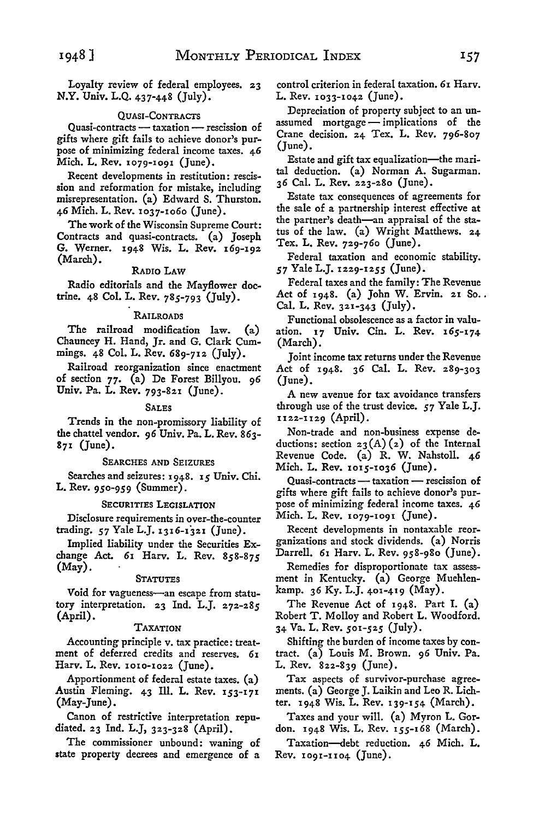Loyalty review of federal employees. 23 **N.Y.** Univ. L.Q. 437-448 (July).

#### QUASI-CONTRACTS

Quasi-contracts - taxation - rescission of gifts where gift fails to achieve donor's purpose of minimizing federal income taxes. 46 Mich. L. Rev. 1079-1091 (June).

Recent developments in restitution: rescission and reformation for mistake, including misrepresentation. (a) Edward S. Thurston. 46 Mich. L. Rev. 1037-1060 (June).

The work of the Wisconsin Supreme Court: Contracts and quasi-contracts. (a) Joseph **G.** Werner. 1948 Wis. L. Rev. 169-192 (March).

# RADIO LAW

Radio editorials and the Mayflower doctrine. 48 Col. L. Rev. 785-793 (July).

# RAILROADS

The railroad modification law. (a) Chauncey H. Hand, Jr. and G. Clark Cummings. 48 Col. L. Rev. 689-712 (July).

Railroad reorganization since enactment of section 77. (a) De Forest Billyou. 96 Univ. Pa. L. Rev. 793-821 (June).

#### SALES

Trends in the non-promissory liability of the chattel vendor. 96 Univ. Pa. L. Rev. 863- 871 (June).

#### SEARCHES AND SEIZURES

Searches and seizures: 1948. 15 Univ. Chi. L. Rev. 950-959 (Summer).

#### SECURITIES LEGISLATION

Disclosure requirements in over-the-counter trading. *57* Yale L.J. 1316-1321 (June).

Implied liability under the Securities Exchange Act. 61 Harv. L. Rev. *858-875*  (May).

# **STATUTES**

Void for vagueness-an escape from statutory interpretation. 23 Ind. L.J. 272-285 (April).

#### TAXATION

Accounting principle v. tax practice: treatment of deferred credits and reserves. 61 Harv. L. Rev. 1010-1022 (June).

Apportionment of federal estate taxes. (a) Austin Fleming. 43 Ill. L. Rev. 153-171 (May-June).

Canon of restrictive interpretation repudiated. 23 Ind. L.J, 323-328 (April).

The commissioner unbound: waning of **state** property decrees and emergence of a control criterion in federal taxation. 61 Harv. L. Rev. 1033-1042 (June).

Depreciation of property subject to an unassumed mortgage - implications of the Crane decision. 24 Tex. L. Rev. 796-807 (June).

Estate and gift tax equalization-the marital deduction. (a) Norman A. Sugarman. 36 Cal. L. Rev. 223-280 (June).

Estate tax consequences of agreements for the sale of a partnership interest effective at the partner's death-an appraisal of the status of the law. (a) Wright Matthews. 24 Tex. L. Rev. 729-760 (June).

Federal taxation and economic stability. *57* Yale L.J. 1229-1255 (June).

Federal taxes and the family: The Revenue Act of  $1948.$  (a) John W. Ervin. 21 So.. Cal. L. Rev. 321-343 (July).

Functional obsolescence as a factor in valuation. 17 Univ. Cin. L. Rev. 165-174 (March).

Joint income tax returns under the Revenue Act of 1948. 36 Cal. L. Rev. 289-303 (June).

**A** new avenue for tax avoidance transfers through use of the trust device. *57* Yale L.J. 1122-n 29 (April).

Non-trade and non-business expense deductions: section  $23(A)(2)$  of the Internal Revenue Code. (a) R. W. Nahstoll. 46 Mich. L. Rev. 1015-1036 (June).

Quasi-contracts - taxation - rescission of gifts where gift fails to achieve donor's purpose of minimizing federal income taxes. 46 Mich. L. Rev. 1079-1091 (June).

Recent developments in nontaxable reorganizations and stock dividends. (a) Norris Darrell. 61 Harv. L. Rev. 958-980 (June).

Remedies for disproportionate tax assessment in Kentucky. (a) George Muehlenkamp. 36 Ky. L.J. 401-419 (May).

The Revenue Act of 1948. Part I. (a) Robert T. Molloy and Robert L. Woodford. 34 Va. L. Rev. *501-525* (July).

Shifting the burden of income taxes by contract. (a) Louis M. Brown. 96 Univ. Pa. L. Rev. 822-839 (June).

Tax aspects of survivor-purchase agreements. (a) George J. Laikin and Leo R. Lichter. 1948 Wis. L. Rev. 139-154 (March).

Taxes and your will. (a) Myron L. Gordon. 1948 Wis. L. Rev. 155-168 (March).

Taxation-debt reduction. 46 Mich. L.  $Rev.$  1091-1104 (June).